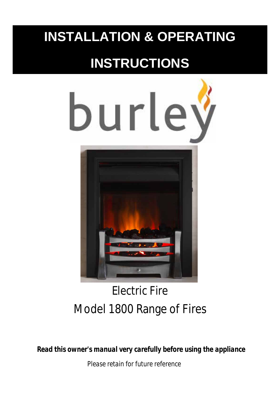## **INSTALLATION & OPERATING**

# **INSTRUCTIONS**



## Electric Fire Model 1800 Range of Fires

*Read this owner's manual very carefully before using the appliance Please retain for future reference*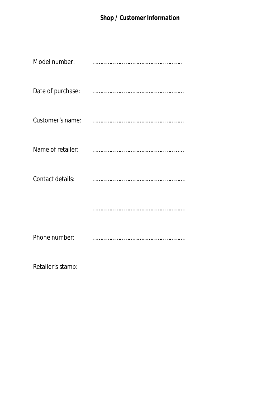| Model number:     |   |
|-------------------|---|
| Date of purchase: | . |
| Customer's name:  |   |
| Name of retailer: |   |
| Contact details:  |   |
|                   |   |
| Phone number:     |   |

Retailer's stamp: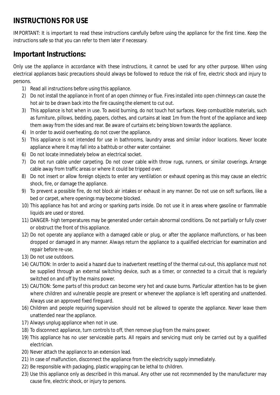#### **INSTRUCTIONS FOR USE**

IMPORTANT: It is important to read these instructions carefully before using the appliance for the first time. Keep the instructions safe so that you can refer to them later if necessary.

#### **Important Instructions:**

Only use the appliance in accordance with these instructions, it cannot be used for any other purpose. When using electrical appliances basic precautions should always be followed to reduce the risk of fire, electric shock and injury to persons.

- 1) Read all instructions before using this appliance.
- 2) Do not install the appliance in front of an open chimney or flue. Fires installed into open chimneys can cause the hot air to be drawn back into the fire causing the element to cut out.
- 3) This appliance is hot when in use. To avoid burning, do not touch hot surfaces. Keep combustible materials, such as furniture, pillows, bedding, papers, clothes, and curtains at least 1m from the front of the appliance and keep them away from the sides and rear. Be aware of curtains etc being blown towards the appliance.
- 4) In order to avoid overheating, do not cover the appliance.
- 5) This appliance is not intended for use in bathrooms, laundry areas and similar indoor locations. Never locate appliance where it may fall into a bathtub or other water container.
- 6) Do not locate immediately below an electrical socket.
- 7) Do not run cable under carpeting. Do not cover cable with throw rugs, runners, or similar coverings. Arrange cable away from traffic areas or where it could be tripped over.
- 8) Do not insert or allow foreign objects to enter any ventilation or exhaust opening as this may cause an electric shock, fire, or damage the appliance.
- 9) To prevent a possible fire, do not block air intakes or exhaust in any manner. Do not use on soft surfaces, like a bed or carpet, where openings may become blocked.
- 10) This appliance has hot and arcing or sparking parts inside. Do not use it in areas where gasoline or flammable liquids are used or stored.
- 11) DANGER- high temperatures may be generated under certain abnormal conditions. Do not partially or fully cover or obstruct the front of this appliance.
- 12) Do not operate any appliance with a damaged cable or plug, or after the appliance malfunctions, or has been dropped or damaged in any manner. Always return the appliance to a qualified electrician for examination and repair before re-use.
- 13) Do not use outdoors.
- 14) CAUTION: In order to avoid a hazard due to inadvertent resetting of the thermal cut-out, this appliance must not be supplied through an external switching device, such as a timer, or connected to a circuit that is regularly switched on and off by the mains power.
- 15) CAUTION: Some parts of this product can become very hot and cause burns. Particular attention has to be given where children and vulnerable people are present or whenever the appliance is left operating and unattended. Always use an approved fixed fireguard.
- 16) Children and people requiring supervision should not be allowed to operate the appliance. Never leave them unattended near the appliance.
- 17) Always unplug appliance when not in use.
- 18) To disconnect appliance, turn controls to off, then remove plug from the mains power.
- 19) This appliance has no user serviceable parts. All repairs and servicing must only be carried out by a qualified electrician.
- 20) Never attach the appliance to an extension lead.
- 21) In case of malfunction, disconnect the appliance from the electricity supply immediately.
- 22) Be responsible with packaging, plastic wrapping can be lethal to children.
- 23) Use this appliance only as described in this manual. Any other use not recommended by the manufacturer may cause fire, electric shock, or injury to persons.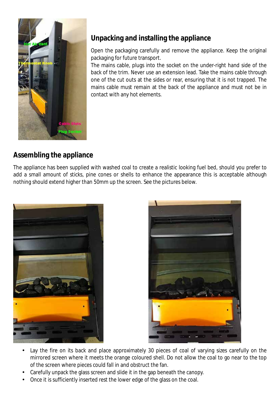

## **Unpacking and installing the appliance**

Open the packaging carefully and remove the appliance. Keep the original packaging for future transport.

The mains cable, plugs into the socket on the under-right hand side of the back of the trim. Never use an extension lead. Take the mains cable through one of the cut outs at the sides or rear, ensuring that it is not trapped. The mains cable must remain at the back of the appliance and must not be in contact with any hot elements.

### **Assembling the appliance**

The appliance has been supplied with washed coal to create a realistic looking fuel bed, should you prefer to add a small amount of sticks, pine cones or shells to enhance the appearance this is acceptable although nothing should extend higher than 50mm up the screen. See the pictures below.





- Lay the fire on its back and place approximately 30 pieces of coal of varying sizes carefully on the mirrored screen where it meets the orange coloured shell. Do not allow the coal to go near to the top of the screen where pieces could fall in and obstruct the fan.
- Carefully unpack the glass screen and slide it in the gap beneath the canopy.
- Once it is sufficiently inserted rest the lower edge of the glass on the coal.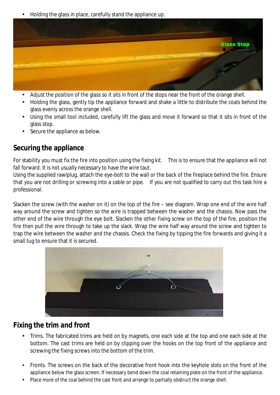Holding the glass in place, carefully stand the appliance up.



- Adjust the position of the glass so it sits in front of the stops near the front of the orange shell.
- Holding the glass, gently tip the appliance forward and shake a little to distribute the coals behind the glass evenly across the orange shell.
- Using the small tool included, carefully lift the glass and move it forward so that it sits in front of the glass stop.
- Secure the appliance as below.

#### **Securing the appliance**

For stability you must fix the fire into position using the fixing kit. This is to ensure that the appliance will not fall forward. It is not usually necessary to have the wire taut.

Using the supplied rawlplug, attach the eye-bolt to the wall or the back of the fireplace behind the fire. Ensure that you are not drilling or screwing into a cable or pipe. If you are not qualified to carry out this task hire a professional.

Slacken the screw (with the washer on it) on the top of the fire – see diagram. Wrap one end of the wire half way around the screw and tighten so the wire is trapped between the washer and the chassis. Now pass the other end of the wire through the eye bolt. Slacken the other fixing screw on the top of the fire, position the fire then pull the wire through to take up the slack. Wrap the wire half way around the screw and tighten to trap the wire between the washer and the chassis. Check the fixing by tipping the fire forwards and giving it a small tug to ensure that it is secured.



#### **Fixing the trim and front**

- Trims. The fabricated trims are held on by magnets, one each side at the top and one each side at the bottom. The cast trims are held on by clipping over the hooks on the top front of the appliance and screwing the fixing screws into the bottom of the trim.
- Fronts. The screws on the back of the decorative front hook into the keyhole slots on the front of the appliance below the glass screen. If necessary bend down the coal retaining plate on the front of the appliance.
- Place more of the coal behind the cast front and arrange to partially obstruct the orange shell.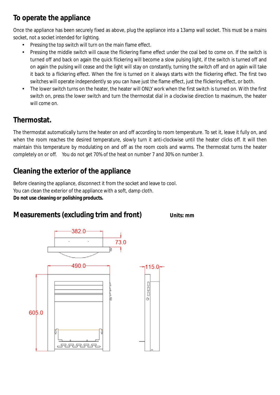## **To operate the appliance**

Once the appliance has been securely fixed as above, plug the appliance into a 13amp wall socket. This must be a mains socket, not a socket intended for lighting.

- Pressing the top switch will turn on the main flame effect.
- Pressing the middle switch will cause the flickering flame effect under the coal bed to come on. If the switch is turned off and back on again the quick flickering will become a slow pulsing light, if the switch is turned off and on again the pulsing will cease and the light will stay on constantly, turning the switch off and on again will take it back to a flickering effect. When the fire is turned on it always starts with the flickering effect. The first two switches will operate independently so you can have just the flame effect, just the flickering effect, or both.
- The lower switch turns on the heater, the heater will ONLY work when the first switch is turned on. With the first switch on, press the lower switch and turn the thermostat dial in a clockwise direction to maximum, the heater will come on.

### **Thermostat.**

The thermostat automatically turns the heater on and off according to room temperature. To set it, leave it fully on, and when the room reaches the desired temperature, slowly turn it anti-clockwise until the heater clicks off. It will then maintain this temperature by modulating on and off as the room cools and warms. The thermostat turns the heater completely on or off. You do not get 70% of the heat on number 7 and 30% on number 3.

## **Cleaning the exterior of the appliance**

Before cleaning the appliance, disconnect it from the socket and leave to cool. You can clean the exterior of the appliance with a soft, damp cloth. **Do not use cleaning or polishing products.**



**Measurements (excluding trim and front)** Units: mm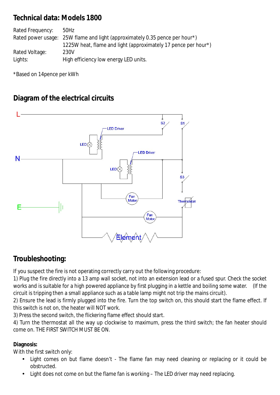#### **Technical data: Models 1800**

| Rated Frequency: | 50Hz                                                                        |
|------------------|-----------------------------------------------------------------------------|
|                  | Rated power usage: 25W flame and light (approximately 0.35 pence per hour*) |
|                  | 1225W heat, flame and light (approximately 17 pence per hour*)              |
| Rated Voltage:   | 230V                                                                        |
| Lights:          | High efficiency low energy LED units.                                       |

\*Based on 14pence per kWh

### **Diagram of the electrical circuits**



#### **Troubleshooting:**

If you suspect the fire is not operating correctly carry out the following procedure:

1) Plug the fire directly into a 13 amp wall socket, not into an extension lead or a fused spur. Check the socket works and is suitable for a high powered appliance by first plugging in a kettle and boiling some water. (If the circuit is tripping then a small appliance such as a table lamp might not trip the mains circuit).

2) Ensure the lead is firmly plugged into the fire. Turn the top switch on, this should start the flame effect. If this switch is not on, the heater will NOT work.

3) Press the second switch, the flickering flame effect should start.

4) Turn the thermostat all the way up clockwise to maximum, press the third switch; the fan heater should come on. THE FIRST SWITCH MUST BE ON.

#### **Diagnosis:**

With the first switch only:

- Light comes on but flame doesn't The flame fan may need cleaning or replacing or it could be obstructed.
- Light does not come on but the flame fan is working The LED driver may need replacing.